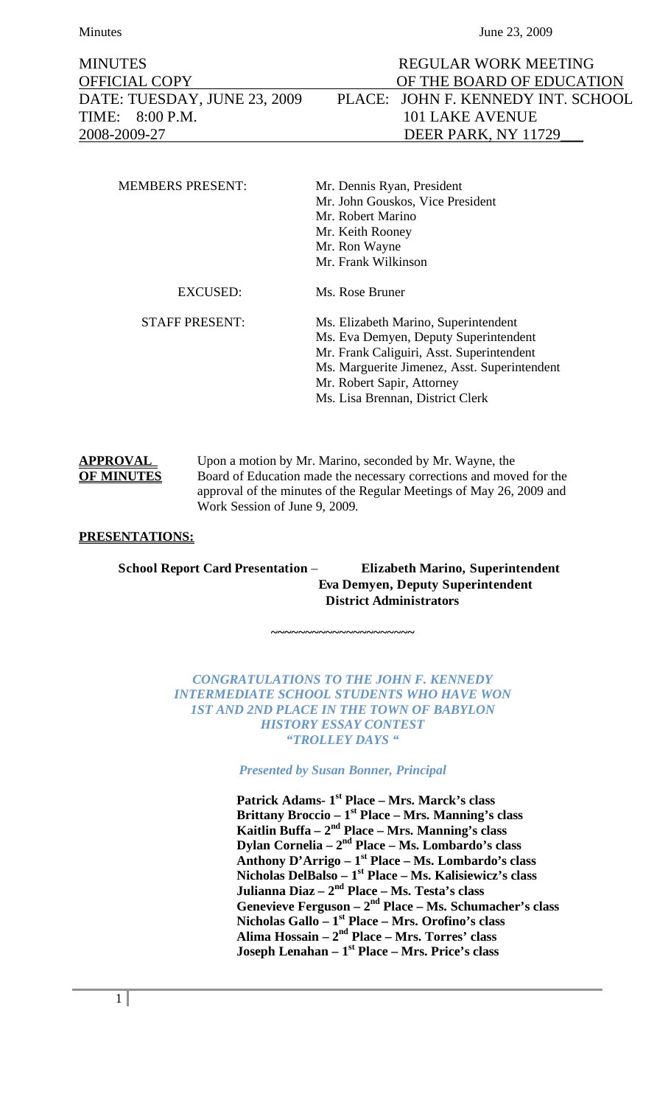Minutes June 23, 2009

# MINUTES REGULAR WORK MEETING TIME: 8:00 P.M. 101 LAKE AVENUE

| <b>MEMBERS PRESENT:</b> | Mr. Dennis Ryan, President<br>Mr. John Gouskos, Vice President<br>Mr. Robert Marino<br>Mr. Keith Rooney<br>Mr. Ron Wayne<br>Mr. Frank Wilkinson                                                                                              |
|-------------------------|----------------------------------------------------------------------------------------------------------------------------------------------------------------------------------------------------------------------------------------------|
| EXCUSED:                | Ms. Rose Bruner                                                                                                                                                                                                                              |
| <b>STAFF PRESENT:</b>   | Ms. Elizabeth Marino, Superintendent<br>Ms. Eva Demyen, Deputy Superintendent<br>Mr. Frank Caliguiri, Asst. Superintendent<br>Ms. Marguerite Jimenez, Asst. Superintendent<br>Mr. Robert Sapir, Attorney<br>Ms. Lisa Brennan, District Clerk |

# **APPROVAL** Upon a motion by Mr. Marino, seconded by Mr. Wayne, the **OF MINUTES** Board of Education made the necessary corrections and mov Board of Education made the necessary corrections and moved for the approval of the minutes of the Regular Meetings of May 26, 2009 and Work Session of June 9, 2009.

# **PRESENTATIONS:**

**School Report Card Presentation** – **Elizabeth Marino, Superintendent Eva Demyen, Deputy Superintendent District Administrators** 

**~~~~~~~~~~~~~~~~~~~~~** 

*CONGRATULATIONS TO THE JOHN F. KENNEDY INTERMEDIATE SCHOOL STUDENTS WHO HAVE WON 1ST AND 2ND PLACE IN THE TOWN OF BABYLON HISTORY ESSAY CONTEST "TROLLEY DAYS "* 

*Presented by Susan Bonner, Principal* 

Patrick Adams- 1<sup>st</sup> Place – Mrs. Marck's class **Brittany Broccio – 1st Place – Mrs. Manning's class Kaitlin Buffa – 2nd Place – Mrs. Manning's class Dylan Cornelia – 2nd Place – Ms. Lombardo's class Anthony D'Arrigo – 1st Place – Ms. Lombardo's class Nicholas DelBalso – 1st Place – Ms. Kalisiewicz's class Julianna Diaz – 2nd Place – Ms. Testa's class Genevieve Ferguson – 2nd Place – Ms. Schumacher's class Nicholas Gallo – 1st Place – Mrs. Orofino's class Alima Hossain – 2nd Place – Mrs. Torres' class Joseph Lenahan – 1st Place – Mrs. Price's class**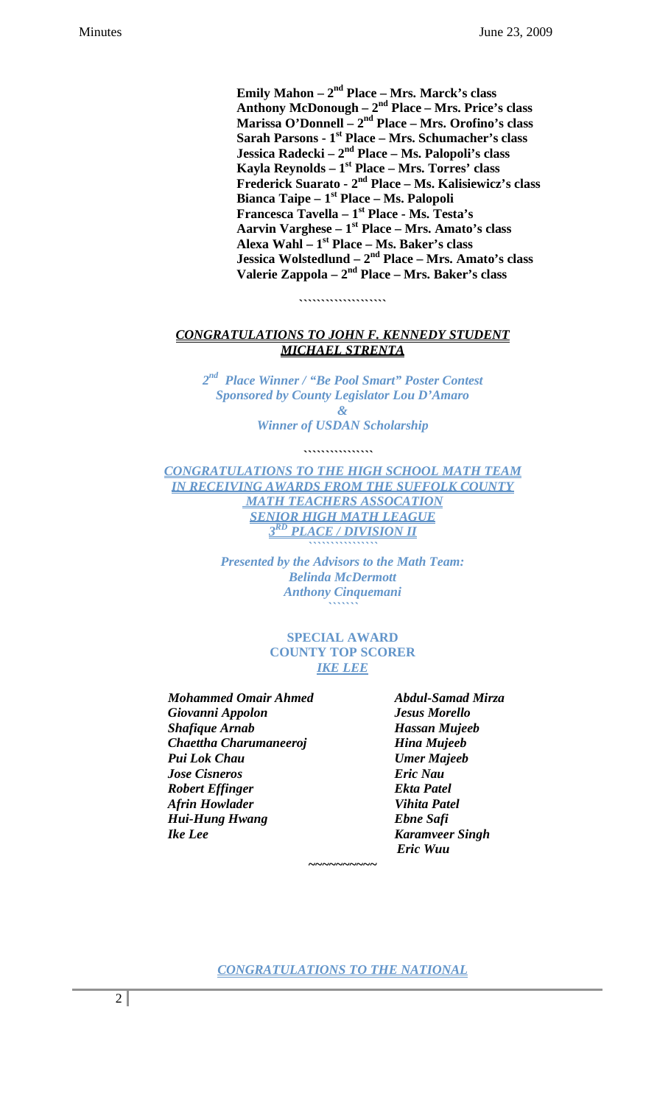**Emily Mahon – 2nd Place – Mrs. Marck's class Anthony McDonough – 2nd Place – Mrs. Price's class Marissa O'Donnell – 2nd Place – Mrs. Orofino's class**  Sarah Parsons - 1<sup>st</sup> Place – Mrs. Schumacher's class **Jessica Radecki – 2nd Place – Ms. Palopoli's class Kayla Reynolds – 1st Place – Mrs. Torres' class Frederick Suarato - 2nd Place – Ms. Kalisiewicz's class Bianca Taipe – 1st Place – Ms. Palopoli Francesca Tavella – 1st Place - Ms. Testa's Aarvin Varghese – 1st Place – Mrs. Amato's class Alexa Wahl – 1st Place – Ms. Baker's class Jessica Wolstedlund – 2nd Place – Mrs. Amato's class Valerie Zappola – 2nd Place – Mrs. Baker's class** 

#### **``````````````````````**

# *CONGRATULATIONS TO JOHN F. KENNEDY STUDENT MICHAEL STRENTA*

*2nd Place Winner / "Be Pool Smart" Poster Contest Sponsored by County Legislator Lou D'Amaro &* 

*Winner of USDAN Scholarship* 

**````````````````** 

*CONGRATULATIONS TO THE HIGH SCHOOL MATH TEAM IN RECEIVING AWARDS FROM THE SUFFOLK COUNTY MATH TEACHERS ASSOCATION SENIOR HIGH MATH LEAGUE 3RD PLACE / DIVISION II ````````````````* 

> *Presented by the Advisors to the Math Team: Belinda McDermott Anthony Cinquemani ```````*

#### **SPECIAL AWARD COUNTY TOP SCORER**  *IKE LEE*

*Mohammed Omair Ahmed Abdul-Samad Mirza Giovanni Appolon Jesus Morello Shafique Arnab Hassan Mujeeb Chaettha Charumaneeroj Hina Mujeeb Pui Lok Chau Umer Majeeb Jose Cisneros Eric Nau Robert Effinger* Ekta Patel *Afrin Howlader Vihita Patel Hui-Hung Hwang Ebne Safi Ike Lee* Karamveer Singh

 *Eric Wuu* 

*CONGRATULATIONS TO THE NATIONAL*

**~~~~~~~~~~**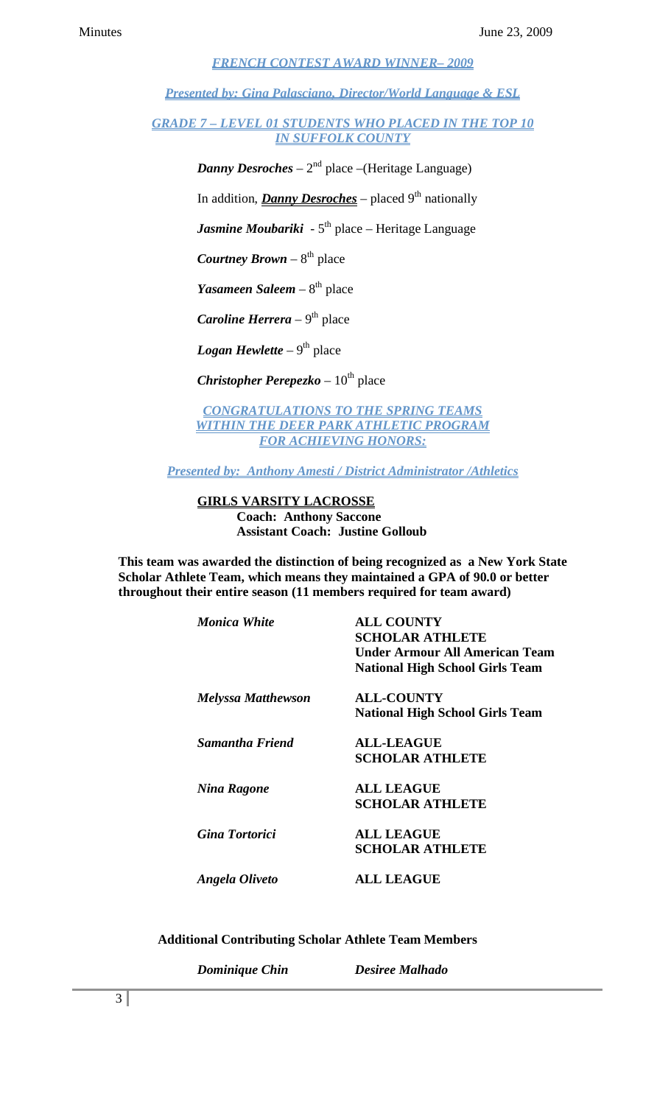#### *FRENCH CONTEST AWARD WINNER– 2009*

*Presented by: Gina Palasciano, Director/World Language & ESL*

*GRADE 7 – LEVEL 01 STUDENTS WHO PLACED IN THE TOP 10 IN SUFFOLK COUNTY*

*Danny Desroches* –  $2<sup>nd</sup>$  place –(Heritage Language)

In addition, *Danny Desroches* – placed 9<sup>th</sup> nationally

*Jasmine Moubariki* - 5<sup>th</sup> place – Heritage Language

*Courtney Brown* – 8<sup>th</sup> place

*Yasameen Saleem* – 8<sup>th</sup> place

*Caroline Herrera* – 9<sup>th</sup> place

*Logan Hewlette* –  $9<sup>th</sup>$  place

*Christopher Perepezko* –  $10^{th}$  place

*CONGRATULATIONS TO THE SPRING TEAMS WITHIN THE DEER PARK ATHLETIC PROGRAM FOR ACHIEVING HONORS:*

*Presented by: Anthony Amesti / District Administrator /Athletics*

# **GIRLS VARSITY LACROSSE Coach: Anthony Saccone**

 **Assistant Coach: Justine Golloub** 

 **This team was awarded the distinction of being recognized as a New York State Scholar Athlete Team, which means they maintained a GPA of 90.0 or better throughout their entire season (11 members required for team award)** 

| <b>Monica White</b>       | <b>ALL COUNTY</b><br><b>SCHOLAR ATHLETE</b><br><b>Under Armour All American Team</b><br><b>National High School Girls Team</b> |
|---------------------------|--------------------------------------------------------------------------------------------------------------------------------|
| <b>Melyssa Matthewson</b> | <b>ALL-COUNTY</b><br><b>National High School Girls Team</b>                                                                    |
| Samantha Friend           | <b>ALL-LEAGUE</b><br><b>SCHOLAR ATHLETE</b>                                                                                    |
| <b>Nina Ragone</b>        | <b>ALL LEAGUE</b><br><b>SCHOLAR ATHLETE</b>                                                                                    |
| <b>Gina Tortorici</b>     | <b>ALL LEAGUE</b><br><b>SCHOLAR ATHLETE</b>                                                                                    |
| Angela Oliveto            | <b>ALL LEAGUE</b>                                                                                                              |

# **Additional Contributing Scholar Athlete Team Members**

*Dominique Chin Desiree Malhado*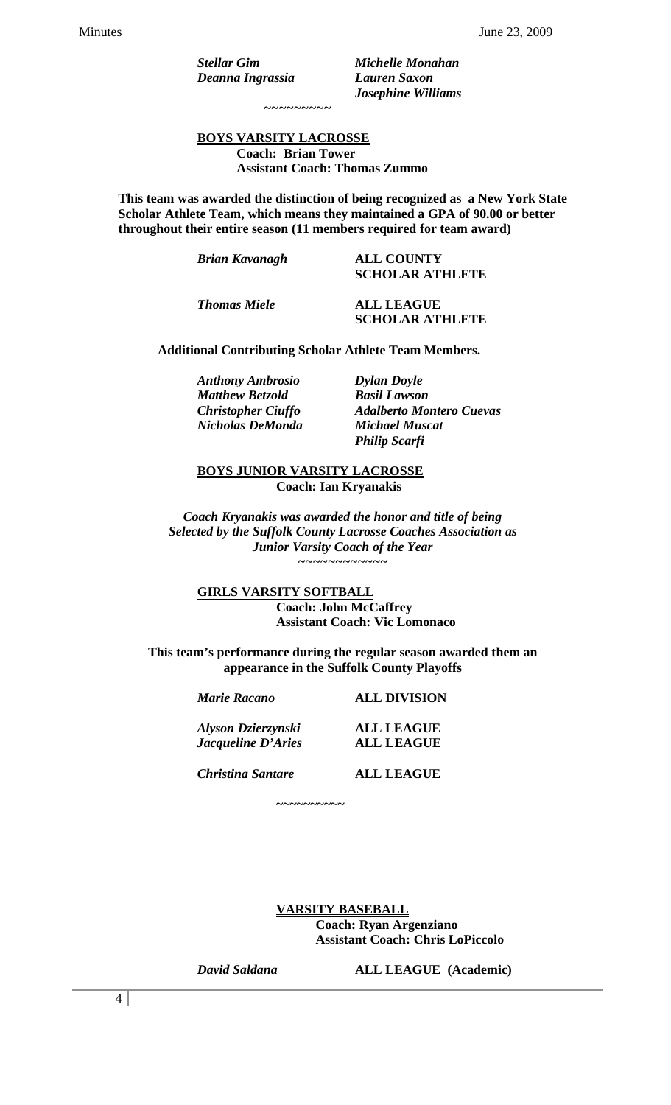*Deanna Ingrassia Lauren Saxon* 

 *Stellar Gim Michelle Monahan Josephine Williams* 

*~~~~~~~~~* 

# **BOYS VARSITY LACROSSE Coach: Brian Tower Assistant Coach: Thomas Zummo**

 **This team was awarded the distinction of being recognized as a New York State Scholar Athlete Team, which means they maintained a GPA of 90.00 or better throughout their entire season (11 members required for team award)** 

| <b>Brian Kavanagh</b> | <b>ALL COUNTY</b><br><b>SCHOLAR ATHLETE</b> |  |
|-----------------------|---------------------------------------------|--|
| <b>Thomas Miele</b>   | ALL LEAGUE                                  |  |

*Thomas Miele* 

# **SCHOLAR ATHLETE**

 **Additional Contributing Scholar Athlete Team Members.** 

*Anthony Ambrosio Dylan Doyle Matthew Betzold Basil Lawson Nicholas DeMonda Michael Muscat* 

 *Christopher Ciuffo Adalberto Montero Cuevas Philip Scarfi* 

#### **BOYS JUNIOR VARSITY LACROSSE Coach: Ian Kryanakis**

*Coach Kryanakis was awarded the honor and title of being Selected by the Suffolk County Lacrosse Coaches Association as Junior Varsity Coach of the Year ~~~~~~~~~~~~* 

#### **GIRLS VARSITY SOFTBALL Coach: John McCaffrey Assistant Coach: Vic Lomonaco**

**This team's performance during the regular season awarded them an appearance in the Suffolk County Playoffs** 

| <b>Marie Racano</b>                             | <b>ALL DIVISION</b>                    |
|-------------------------------------------------|----------------------------------------|
| Alyson Dzierzynski<br><b>Jacqueline D'Aries</b> | <b>ALL LEAGUE</b><br><b>ALL LEAGUE</b> |

 **~~~~~~~~~~** 

*Christina Santare* **ALL LEAGUE** 

 **VARSITY BASEBALL Coach: Ryan Argenziano Assistant Coach: Chris LoPiccolo** 

*David Saldana* **ALL LEAGUE (Academic)**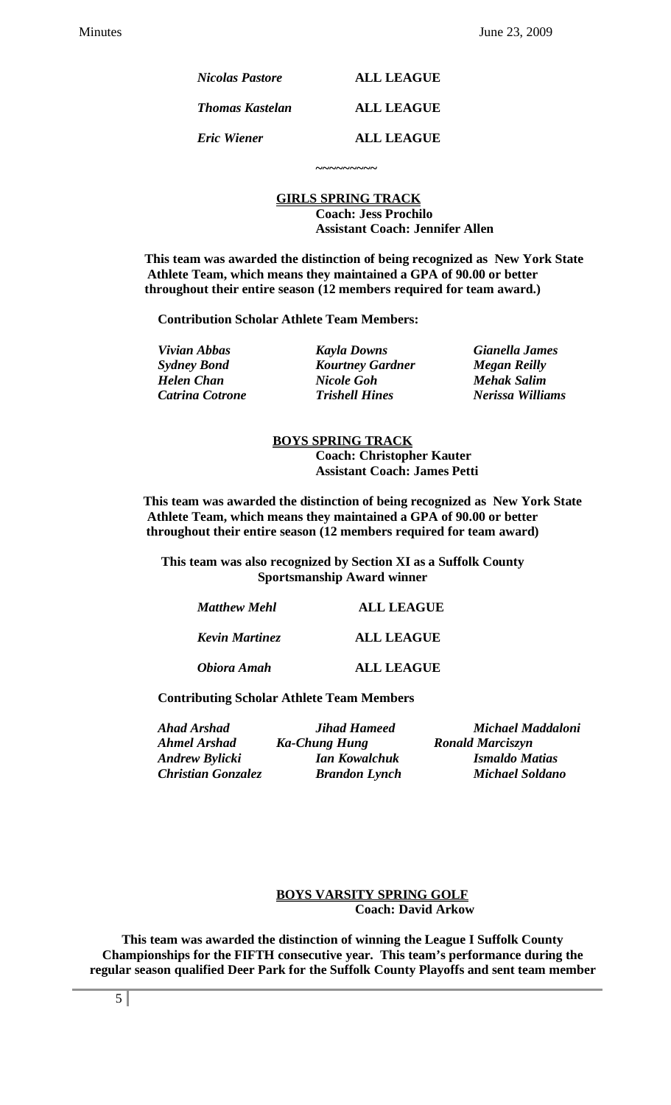| <b>Nicolas Pastore</b> | <b>ALL LEAGUE</b> |
|------------------------|-------------------|
| <b>Thomas Kastelan</b> | <b>ALL LEAGUE</b> |
| Eric Wiener            | <b>ALL LEAGUE</b> |

 **GIRLS SPRING TRACK Coach: Jess Prochilo Assistant Coach: Jennifer Allen** 

 **This team was awarded the distinction of being recognized as New York State Athlete Team, which means they maintained a GPA of 90.00 or better throughout their entire season (12 members required for team award.)** 

 **Contribution Scholar Athlete Team Members:** 

 **~~~~~~~~~** 

| Vivian Abbas           | <b>Kayla Downs</b>      | Gianella James     |
|------------------------|-------------------------|--------------------|
| <b>Sydney Bond</b>     | <b>Kourtney Gardner</b> | Megan Reilly       |
| <b>Helen Chan</b>      | <b>Nicole Goh</b>       | <b>Mehak Salim</b> |
| <b>Catrina Cotrone</b> | <b>Trishell Hines</b>   | Nerissa Williams   |

**BOYS SPRING TRACK Coach: Christopher Kauter Assistant Coach: James Petti** 

 **This team was awarded the distinction of being recognized as New York State Athlete Team, which means they maintained a GPA of 90.00 or better throughout their entire season (12 members required for team award)** 

**This team was also recognized by Section XI as a Suffolk County Sportsmanship Award winner** 

| <b>Matthew Mehl</b>   | <b>ALL LEAGUE</b> |
|-----------------------|-------------------|
| <b>Kevin Martinez</b> | <b>ALL LEAGUE</b> |
| Obiora Amah           | <b>ALL LEAGUE</b> |

 **Contributing Scholar Athlete Team Members** 

| Ahad Arshad               | <b>Jihad Hameed</b>  | Michael Maddaloni       |
|---------------------------|----------------------|-------------------------|
| Ahmel Arshad              | Ka-Chung Hung        | <b>Ronald Marciszyn</b> |
| <b>Andrew Bylicki</b>     | <b>Ian Kowalchuk</b> | <b>Ismaldo Matias</b>   |
| <b>Christian Gonzalez</b> | <b>Brandon Lynch</b> | <b>Michael Soldano</b>  |

#### **BOYS VARSITY SPRING GOLF Coach: David Arkow**

**This team was awarded the distinction of winning the League I Suffolk County Championships for the FIFTH consecutive year. This team's performance during the regular season qualified Deer Park for the Suffolk County Playoffs and sent team member**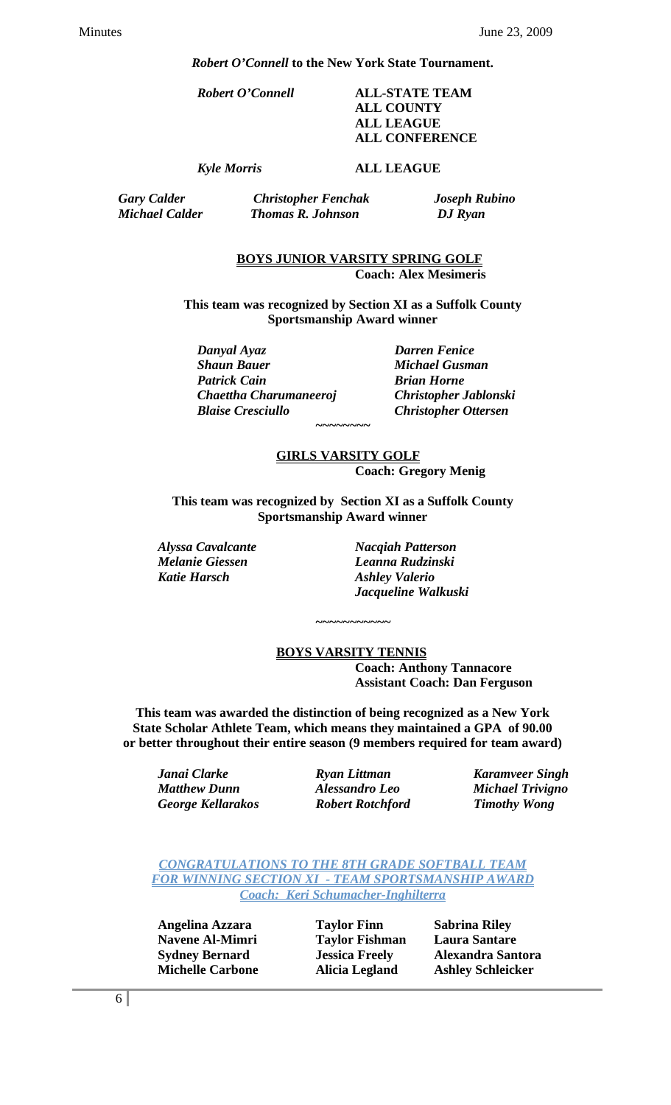*Robert O'Connell* **to the New York State Tournament.** 

*Robert O'Connell* **ALL-STATE TEAM** 

 **ALL COUNTY ALL LEAGUE ALL CONFERENCE** 

*Kyle Morris* **ALL LEAGUE** 

*Gary Calder Christopher Fenchak Joseph Rubino Michael Calder Thomas R. Johnson DJ Ryan* 

 **BOYS JUNIOR VARSITY SPRING GOLF Coach: Alex Mesimeris** 

**This team was recognized by Section XI as a Suffolk County Sportsmanship Award winner** 

*Danyal Ayaz Darren Fenice*<br> *Danyal Ayaz**Darren Fenice***<br>** *Michael Gusm Patrick Cain* **Brian Horne**  *Chaettha Charumaneeroj Christopher Jablonski Blaise Cresciullo Christopher Ottersen* 

 **~~~~~~~~** 

*Michael Gusman* 

 **GIRLS VARSITY GOLF Coach: Gregory Menig** 

**This team was recognized by Section XI as a Suffolk County Sportsmanship Award winner** 

*Alyssa Cavalcante Nacqiah Patterson Melanie Giessen Leanna Rudzinski Katie Harsch Ashley Valerio Jacqueline Walkuski* 

> **BOYS VARSITY TENNIS Coach: Anthony Tannacore Assistant Coach: Dan Ferguson**

**This team was awarded the distinction of being recognized as a New York State Scholar Athlete Team, which means they maintained a GPA of 90.00 or better throughout their entire season (9 members required for team award)** 

 **~~~~~~~~~~~** 

 *George Kellarakos Robert Rotchford Timothy Wong* 

*Janai Clarke Ryan Littman Karamveer Singh Matthew Dunn Alessandro Leo Michael Trivigno* 

*CONGRATULATIONS TO THE 8TH GRADE SOFTBALL TEAM FOR WINNING SECTION XI - TEAM SPORTSMANSHIP AWARD Coach: Keri Schumacher-Inghilterra*

 **Angelina Azzara Taylor Finn Sabrina Riley Navene Al-Mimri Taylor Fishman Laura Santare Michelle Carbone Alicia Legland Ashley Schleicker** 

 **Sydney Bernard Jessica Freely Alexandra Santora**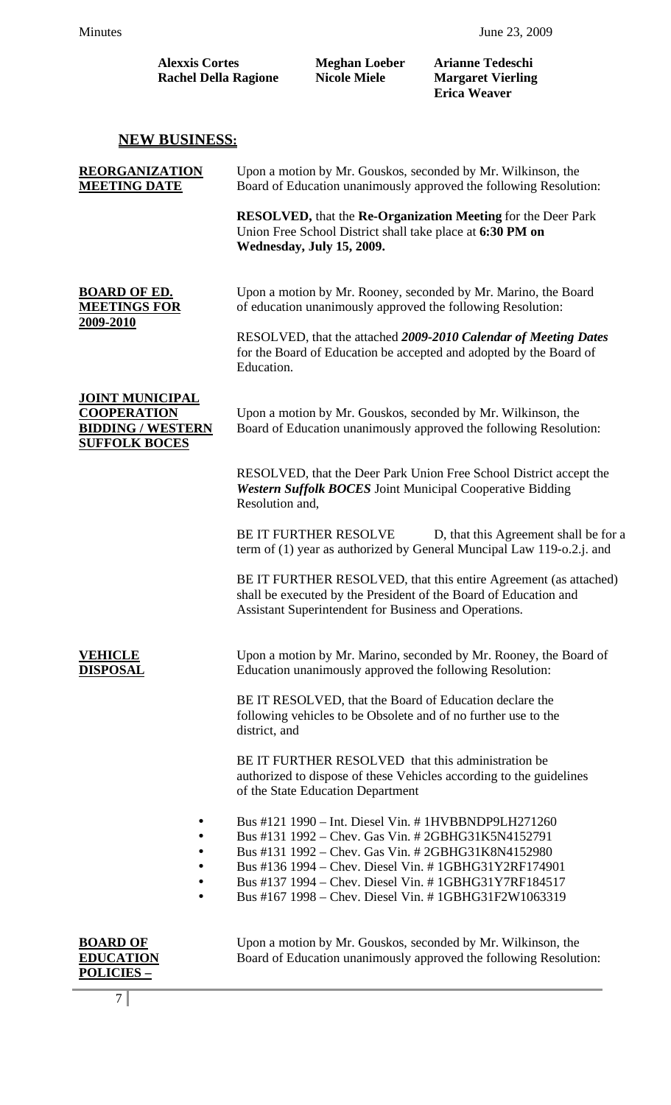| <b>Alexxis Cortes</b><br><b>Rachel Della Ragione</b>                                             |                                                                                                                                                     | <b>Meghan Loeber</b><br><b>Nicole Miele</b>                                             | <b>Arianne Tedeschi</b><br><b>Margaret Vierling</b><br><b>Erica Weaver</b>                                                                                                                                                                                                                                                               |
|--------------------------------------------------------------------------------------------------|-----------------------------------------------------------------------------------------------------------------------------------------------------|-----------------------------------------------------------------------------------------|------------------------------------------------------------------------------------------------------------------------------------------------------------------------------------------------------------------------------------------------------------------------------------------------------------------------------------------|
| <u>NEW BUSINESS:</u>                                                                             |                                                                                                                                                     |                                                                                         |                                                                                                                                                                                                                                                                                                                                          |
| <b>REORGANIZATION</b><br><b>MEETING DATE</b>                                                     | Upon a motion by Mr. Gouskos, seconded by Mr. Wilkinson, the<br>Board of Education unanimously approved the following Resolution:                   |                                                                                         |                                                                                                                                                                                                                                                                                                                                          |
|                                                                                                  |                                                                                                                                                     | Union Free School District shall take place at 6:30 PM on<br>Wednesday, July 15, 2009.  | <b>RESOLVED</b> , that the Re-Organization Meeting for the Deer Park                                                                                                                                                                                                                                                                     |
| <b>BOARD OF ED.</b><br><b>MEETINGS FOR</b>                                                       | Upon a motion by Mr. Rooney, seconded by Mr. Marino, the Board<br>of education unanimously approved the following Resolution:                       |                                                                                         |                                                                                                                                                                                                                                                                                                                                          |
| 2009-2010                                                                                        | RESOLVED, that the attached 2009-2010 Calendar of Meeting Dates<br>for the Board of Education be accepted and adopted by the Board of<br>Education. |                                                                                         |                                                                                                                                                                                                                                                                                                                                          |
| <b>JOINT MUNICIPAL</b><br><b>COOPERATION</b><br><b>BIDDING / WESTERN</b><br><b>SUFFOLK BOCES</b> |                                                                                                                                                     |                                                                                         | Upon a motion by Mr. Gouskos, seconded by Mr. Wilkinson, the<br>Board of Education unanimously approved the following Resolution:                                                                                                                                                                                                        |
|                                                                                                  | Resolution and,                                                                                                                                     |                                                                                         | RESOLVED, that the Deer Park Union Free School District accept the<br><b>Western Suffolk BOCES</b> Joint Municipal Cooperative Bidding                                                                                                                                                                                                   |
|                                                                                                  | BE IT FURTHER RESOLVE D, that this Agreement shall be for a<br>term of (1) year as authorized by General Muncipal Law 119-o.2.j. and                |                                                                                         |                                                                                                                                                                                                                                                                                                                                          |
|                                                                                                  |                                                                                                                                                     | Assistant Superintendent for Business and Operations.                                   | BE IT FURTHER RESOLVED, that this entire Agreement (as attached)<br>shall be executed by the President of the Board of Education and                                                                                                                                                                                                     |
| <b>VEHICLE</b><br><u>DISPOSAL</u>                                                                |                                                                                                                                                     |                                                                                         | Upon a motion by Mr. Marino, seconded by Mr. Rooney, the Board of<br>Education unanimously approved the following Resolution:                                                                                                                                                                                                            |
|                                                                                                  | district, and                                                                                                                                       |                                                                                         | BE IT RESOLVED, that the Board of Education declare the<br>following vehicles to be Obsolete and of no further use to the                                                                                                                                                                                                                |
|                                                                                                  |                                                                                                                                                     | BE IT FURTHER RESOLVED that this administration be<br>of the State Education Department | authorized to dispose of these Vehicles according to the guidelines                                                                                                                                                                                                                                                                      |
| $\bullet$<br>٠<br>$\bullet$                                                                      |                                                                                                                                                     |                                                                                         | Bus #121 1990 – Int. Diesel Vin. # 1HVBBNDP9LH271260<br>Bus #131 1992 - Chev. Gas Vin. #2GBHG31K5N4152791<br>Bus #131 1992 – Chev. Gas Vin. #2GBHG31K8N4152980<br>Bus #136 1994 – Chev. Diesel Vin. # 1GBHG31Y2RF174901<br>Bus #137 1994 – Chev. Diesel Vin. #1GBHG31Y7RF184517<br>Bus #167 1998 – Chev. Diesel Vin. # 1GBHG31F2W1063319 |
| <b>BOARD OF</b><br><b>EDUCATION</b><br><b>POLICIES -</b>                                         |                                                                                                                                                     |                                                                                         | Upon a motion by Mr. Gouskos, seconded by Mr. Wilkinson, the<br>Board of Education unanimously approved the following Resolution:                                                                                                                                                                                                        |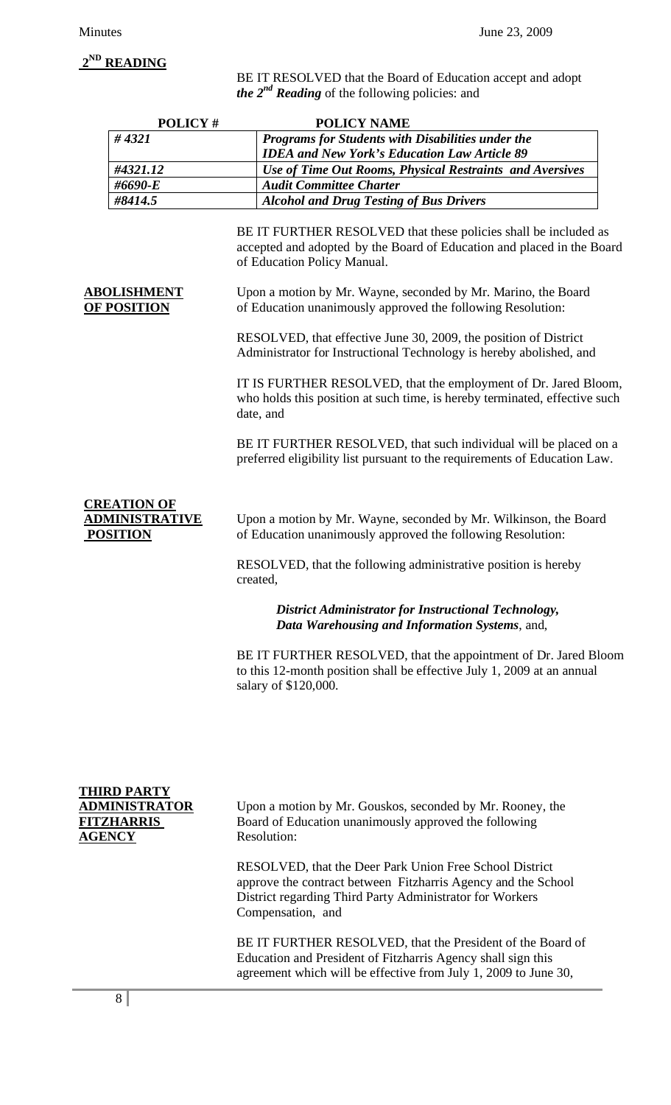BE IT RESOLVED that the Board of Education accept and adopt *the 2nd Reading* of the following policies: and

| <b>POLICY#</b>                                                                   | <b>POLICY NAME</b>                                                                                                                                                                                        |  |  |
|----------------------------------------------------------------------------------|-----------------------------------------------------------------------------------------------------------------------------------------------------------------------------------------------------------|--|--|
| #4321                                                                            | Programs for Students with Disabilities under the                                                                                                                                                         |  |  |
|                                                                                  | <b>IDEA and New York's Education Law Article 89</b>                                                                                                                                                       |  |  |
| #4321.12                                                                         | Use of Time Out Rooms, Physical Restraints and Aversives                                                                                                                                                  |  |  |
| #6690-E                                                                          | <b>Audit Committee Charter</b>                                                                                                                                                                            |  |  |
| #8414.5                                                                          | <b>Alcohol and Drug Testing of Bus Drivers</b>                                                                                                                                                            |  |  |
|                                                                                  | BE IT FURTHER RESOLVED that these policies shall be included as<br>accepted and adopted by the Board of Education and placed in the Board<br>of Education Policy Manual.                                  |  |  |
| <b>ABOLISHMENT</b><br><u>OF POSITION</u>                                         | Upon a motion by Mr. Wayne, seconded by Mr. Marino, the Board<br>of Education unanimously approved the following Resolution:                                                                              |  |  |
|                                                                                  | RESOLVED, that effective June 30, 2009, the position of District<br>Administrator for Instructional Technology is hereby abolished, and                                                                   |  |  |
|                                                                                  | IT IS FURTHER RESOLVED, that the employment of Dr. Jared Bloom,<br>who holds this position at such time, is hereby terminated, effective such<br>date, and                                                |  |  |
|                                                                                  | BE IT FURTHER RESOLVED, that such individual will be placed on a<br>preferred eligibility list pursuant to the requirements of Education Law.                                                             |  |  |
| <b>CREATION OF</b><br><u>ADMINISTRATIVE</u><br><b>POSITION</b>                   | Upon a motion by Mr. Wayne, seconded by Mr. Wilkinson, the Board<br>of Education unanimously approved the following Resolution:                                                                           |  |  |
|                                                                                  | RESOLVED, that the following administrative position is hereby<br>created,                                                                                                                                |  |  |
|                                                                                  | <b>District Administrator for Instructional Technology,</b><br>Data Warehousing and Information Systems, and,                                                                                             |  |  |
|                                                                                  | BE IT FURTHER RESOLVED, that the appointment of Dr. Jared Bloom<br>to this 12-month position shall be effective July 1, 2009 at an annual<br>salary of \$120,000.                                         |  |  |
|                                                                                  |                                                                                                                                                                                                           |  |  |
| <b>THIRD PARTY</b><br><u>ADMINISTRATOR</u><br><u>FITZHARRIS</u><br><b>AGENCY</b> | Upon a motion by Mr. Gouskos, seconded by Mr. Rooney, the<br>Board of Education unanimously approved the following<br>Resolution:                                                                         |  |  |
|                                                                                  | RESOLVED, that the Deer Park Union Free School District<br>approve the contract between Fitzharris Agency and the School<br>District regarding Third Party Administrator for Workers<br>Compensation, and |  |  |
|                                                                                  | BE IT FURTHER RESOLVED, that the President of the Board of                                                                                                                                                |  |  |

Education and President of Fitzharris Agency shall sign this agreement which will be effective from July 1, 2009 to June 30,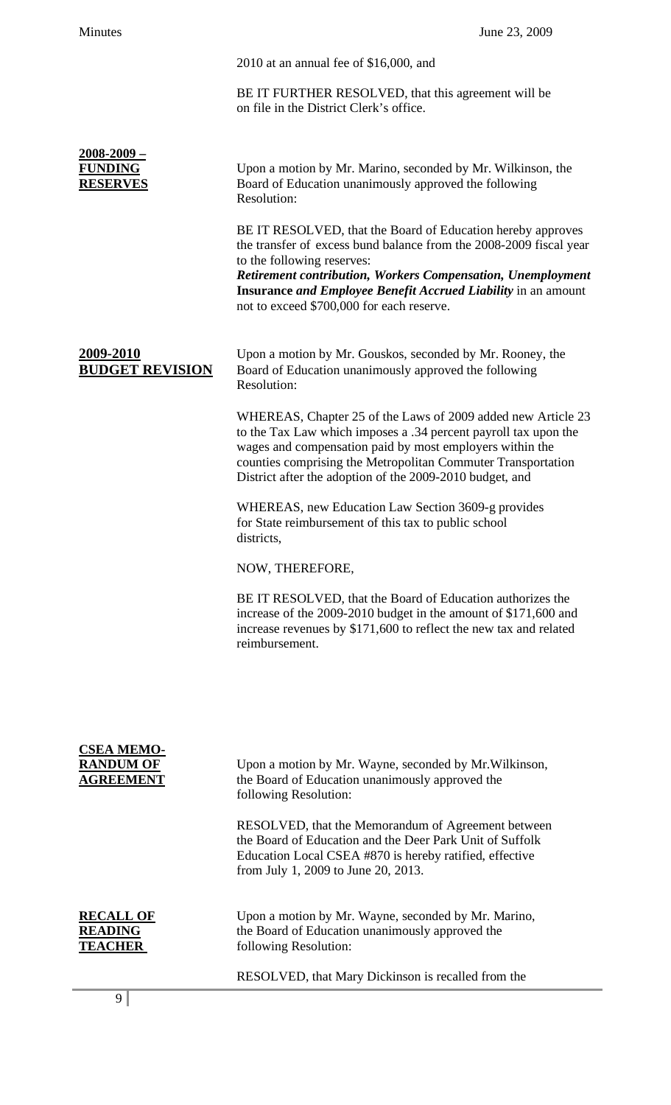|                                                           | 2010 at an annual fee of $$16,000$ , and                                                                                                                                                                                                                                                                                                                   |
|-----------------------------------------------------------|------------------------------------------------------------------------------------------------------------------------------------------------------------------------------------------------------------------------------------------------------------------------------------------------------------------------------------------------------------|
|                                                           | BE IT FURTHER RESOLVED, that this agreement will be<br>on file in the District Clerk's office.                                                                                                                                                                                                                                                             |
| <u> 2008-2009 – </u><br><b>FUNDING</b><br><b>RESERVES</b> | Upon a motion by Mr. Marino, seconded by Mr. Wilkinson, the<br>Board of Education unanimously approved the following<br>Resolution:                                                                                                                                                                                                                        |
|                                                           | BE IT RESOLVED, that the Board of Education hereby approves<br>the transfer of excess bund balance from the 2008-2009 fiscal year<br>to the following reserves:<br><b>Retirement contribution, Workers Compensation, Unemployment</b><br><b>Insurance and Employee Benefit Accrued Liability in an amount</b><br>not to exceed \$700,000 for each reserve. |
| 2009-2010<br><b>BUDGET REVISION</b>                       | Upon a motion by Mr. Gouskos, seconded by Mr. Rooney, the<br>Board of Education unanimously approved the following<br>Resolution:                                                                                                                                                                                                                          |
|                                                           | WHEREAS, Chapter 25 of the Laws of 2009 added new Article 23<br>to the Tax Law which imposes a .34 percent payroll tax upon the<br>wages and compensation paid by most employers within the<br>counties comprising the Metropolitan Commuter Transportation<br>District after the adoption of the 2009-2010 budget, and                                    |
|                                                           | WHEREAS, new Education Law Section 3609-g provides<br>for State reimbursement of this tax to public school<br>districts,                                                                                                                                                                                                                                   |
|                                                           | NOW, THEREFORE,                                                                                                                                                                                                                                                                                                                                            |
|                                                           | BE IT RESOLVED, that the Board of Education authorizes the<br>increase of the 2009-2010 budget in the amount of \$171,600 and<br>increase revenues by \$171,600 to reflect the new tax and related<br>reimbursement.                                                                                                                                       |
|                                                           |                                                                                                                                                                                                                                                                                                                                                            |
| <b>CSEA MEMO-</b><br><b>RANDUM OF</b><br><b>AGREEMENT</b> | Upon a motion by Mr. Wayne, seconded by Mr. Wilkinson,<br>the Board of Education unanimously approved the<br>following Resolution:                                                                                                                                                                                                                         |
|                                                           | RESOLVED, that the Memorandum of Agreement between<br>the Board of Education and the Deer Park Unit of Suffolk<br>Education Local CSEA #870 is hereby ratified, effective<br>from July 1, 2009 to June 20, 2013.                                                                                                                                           |
| <b>RECALL OF</b><br><b>READING</b><br>TEACHER             | Upon a motion by Mr. Wayne, seconded by Mr. Marino,<br>the Board of Education unanimously approved the<br>following Resolution:                                                                                                                                                                                                                            |
|                                                           | RESOLVED, that Mary Dickinson is recalled from the                                                                                                                                                                                                                                                                                                         |
| 9 <sup>1</sup>                                            |                                                                                                                                                                                                                                                                                                                                                            |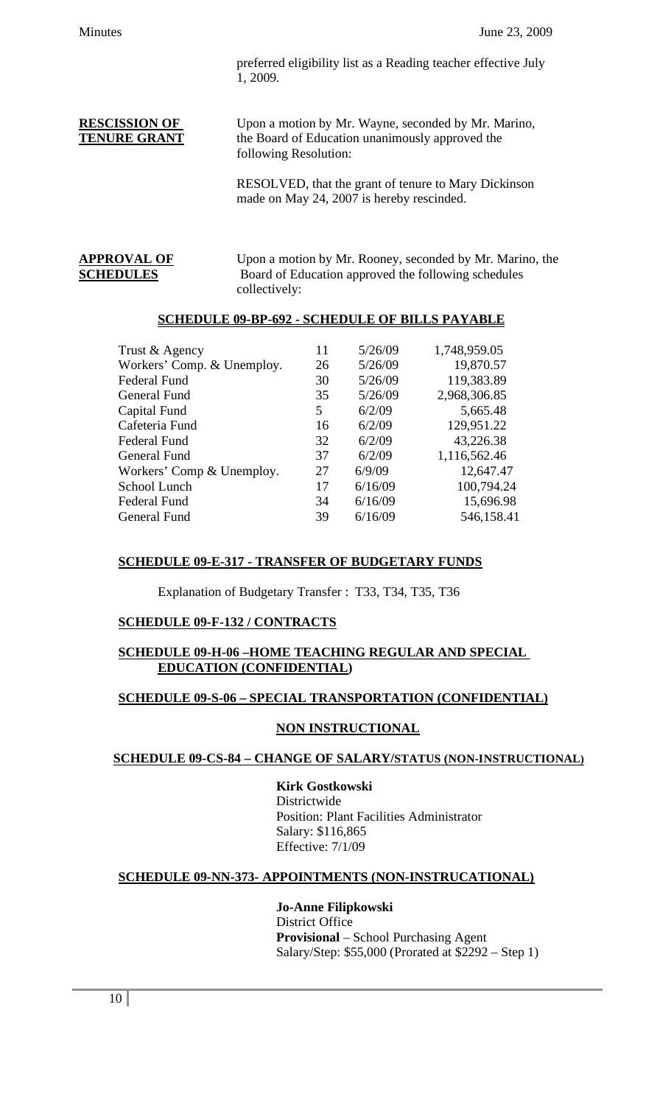preferred eligibility list as a Reading teacher effective July 1, 2009.

**RESCISSION OF** Upon a motion by Mr. Wayne, seconded by Mr. Marino, **TENURE GRANT** the Board of Education unanimously approved the following Resolution: RESOLVED, that the grant of tenure to Mary Dickinson made on May 24, 2007 is hereby rescinded. **APPROVAL OF** Upon a motion by Mr. Rooney, seconded by Mr. Marino, the

**SCHEDULES** Board of Education approved the following schedules

collectively:

# **SCHEDULE 09-BP-692 - SCHEDULE OF BILLS PAYABLE**

| Trust & Agency             | 11 | 5/26/09 | 1,748,959.05 |
|----------------------------|----|---------|--------------|
| Workers' Comp. & Unemploy. | 26 | 5/26/09 | 19,870.57    |
| Federal Fund               | 30 | 5/26/09 | 119,383.89   |
| General Fund               | 35 | 5/26/09 | 2,968,306.85 |
| Capital Fund               | 5  | 6/2/09  | 5,665.48     |
| Cafeteria Fund             | 16 | 6/2/09  | 129,951.22   |
| Federal Fund               | 32 | 6/2/09  | 43,226.38    |
| General Fund               | 37 | 6/2/09  | 1,116,562.46 |
| Workers' Comp & Unemploy.  | 27 | 6/9/09  | 12,647.47    |
| School Lunch               | 17 | 6/16/09 | 100,794.24   |
| Federal Fund               | 34 | 6/16/09 | 15,696.98    |
| General Fund               | 39 | 6/16/09 | 546,158.41   |
|                            |    |         |              |

# **SCHEDULE 09-E-317 - TRANSFER OF BUDGETARY FUNDS**

Explanation of Budgetary Transfer : T33, T34, T35, T36

# **SCHEDULE 09-F-132 / CONTRACTS**

# **SCHEDULE 09-H-06 –HOME TEACHING REGULAR AND SPECIAL EDUCATION (CONFIDENTIAL)**

# **SCHEDULE 09-S-06 – SPECIAL TRANSPORTATION (CONFIDENTIAL)**

# **NON INSTRUCTIONAL**

# **SCHEDULE 09-CS-84 – CHANGE OF SALARY/STATUS (NON-INSTRUCTIONAL)**

 **Kirk Gostkowski**  Districtwide Position: Plant Facilities Administrator Salary: \$116,865 Effective: 7/1/09

# **SCHEDULE 09-NN-373- APPOINTMENTS (NON-INSTRUCATIONAL)**

# **Jo-Anne Filipkowski** District Office **Provisional** – School Purchasing Agent Salary/Step: \$55,000 (Prorated at \$2292 – Step 1)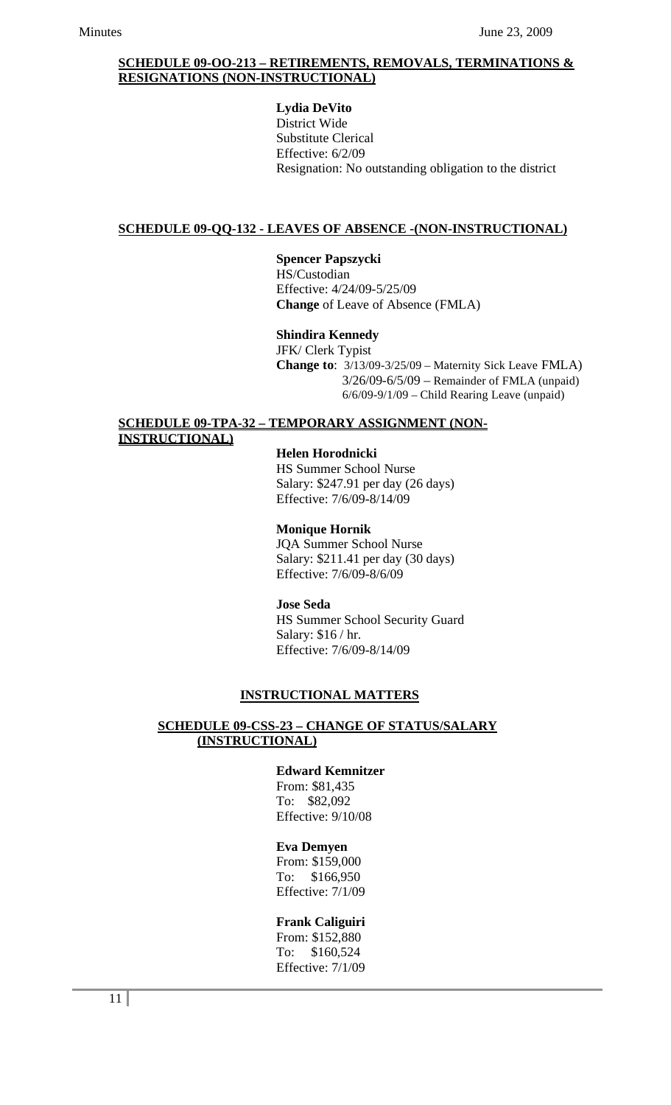#### **SCHEDULE 09-OO-213 – RETIREMENTS, REMOVALS, TERMINATIONS & RESIGNATIONS (NON-INSTRUCTIONAL)**

#### **Lydia DeVito**

District Wide Substitute Clerical Effective: 6/2/09 Resignation: No outstanding obligation to the district

#### **SCHEDULE 09-QQ-132 - LEAVES OF ABSENCE -(NON-INSTRUCTIONAL)**

#### **Spencer Papszycki**

HS/Custodian Effective: 4/24/09-5/25/09 **Change** of Leave of Absence (FMLA)

# **Shindira Kennedy**

JFK/ Clerk Typist **Change to**: 3/13/09-3/25/09 – Maternity Sick Leave FMLA) 3/26/09-6/5/09 – Remainder of FMLA (unpaid) 6/6/09-9/1/09 – Child Rearing Leave (unpaid)

# **SCHEDULE 09-TPA-32 – TEMPORARY ASSIGNMENT (NON-**

 **INSTRUCTIONAL)**

# **Helen Horodnicki**

 HS Summer School Nurse Salary: \$247.91 per day (26 days) Effective: 7/6/09-8/14/09

# **Monique Hornik**

JQA Summer School Nurse Salary: \$211.41 per day (30 days) Effective: 7/6/09-8/6/09

# **Jose Seda**

HS Summer School Security Guard Salary: \$16 / hr. Effective: 7/6/09-8/14/09

# **INSTRUCTIONAL MATTERS**

# **SCHEDULE 09-CSS-23 – CHANGE OF STATUS/SALARY (INSTRUCTIONAL)**

# **Edward Kemnitzer**

From: \$81,435 To: \$82,092 Effective: 9/10/08

#### **Eva Demyen**

From: \$159,000 To: \$166,950 Effective: 7/1/09

#### **Frank Caliguiri**

From: \$152,880 To: \$160,524 Effective: 7/1/09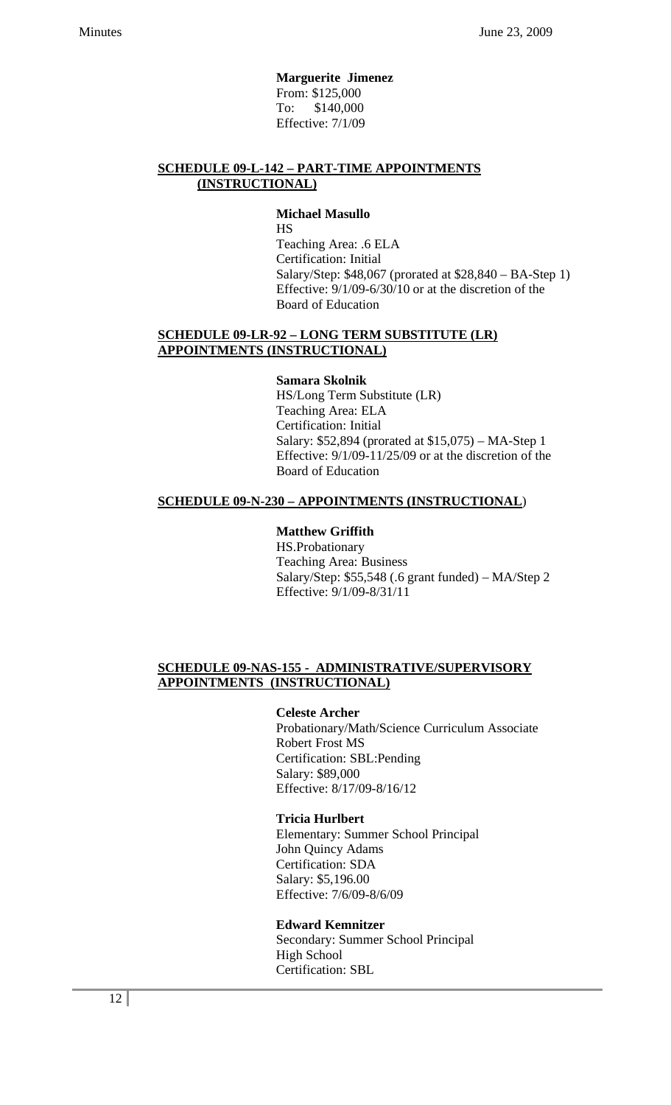**Marguerite Jimenez** From: \$125,000 To: \$140,000 Effective: 7/1/09

# **SCHEDULE 09-L-142 – PART-TIME APPOINTMENTS (INSTRUCTIONAL)**

# **Michael Masullo**

HS Teaching Area: .6 ELA Certification: Initial Salary/Step: \$48,067 (prorated at \$28,840 – BA-Step 1) Effective: 9/1/09-6/30/10 or at the discretion of the Board of Education

#### **SCHEDULE 09-LR-92 – LONG TERM SUBSTITUTE (LR) APPOINTMENTS (INSTRUCTIONAL)**

# **Samara Skolnik**

HS/Long Term Substitute (LR) Teaching Area: ELA Certification: Initial Salary: \$52,894 (prorated at \$15,075) – MA-Step 1 Effective:  $9/1/09 - 11/25/09$  or at the discretion of the Board of Education

# **SCHEDULE 09-N-230 – APPOINTMENTS (INSTRUCTIONAL**)

# **Matthew Griffith**

HS.Probationary Teaching Area: Business Salary/Step: \$55,548 (.6 grant funded) – MA/Step 2 Effective: 9/1/09-8/31/11

# **SCHEDULE 09-NAS-155 - ADMINISTRATIVE/SUPERVISORY APPOINTMENTS (INSTRUCTIONAL)**

# **Celeste Archer**

Probationary/Math/Science Curriculum Associate Robert Frost MS Certification: SBL:Pending Salary: \$89,000 Effective: 8/17/09-8/16/12

# **Tricia Hurlbert**

Elementary: Summer School Principal John Quincy Adams Certification: SDA Salary: \$5,196.00 Effective: 7/6/09-8/6/09

# **Edward Kemnitzer**

Secondary: Summer School Principal High School Certification: SBL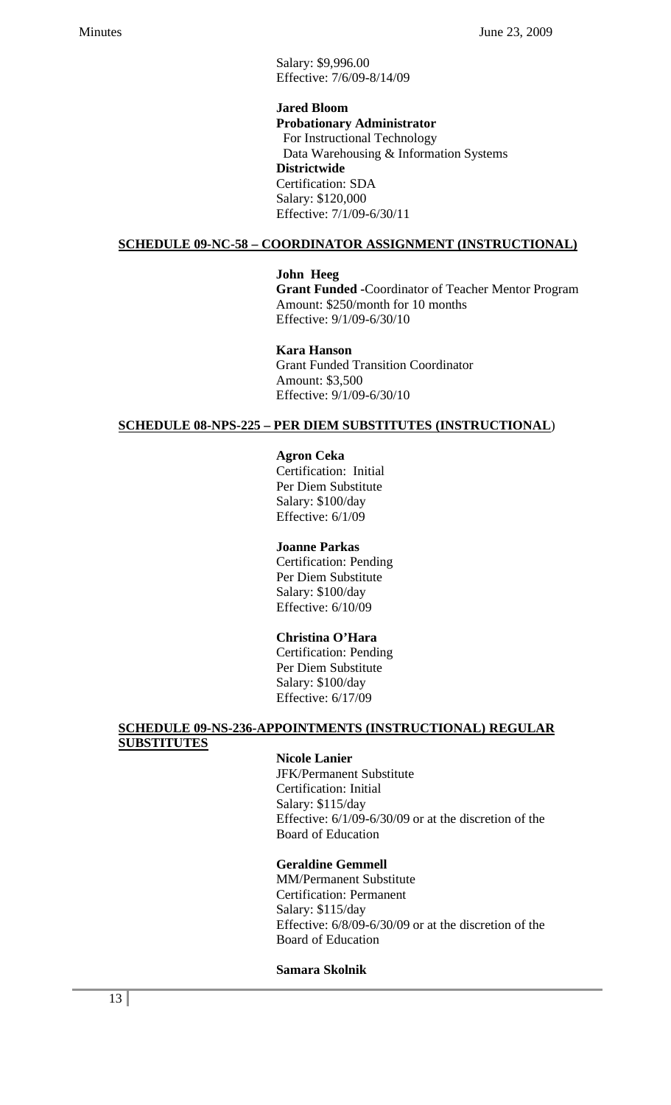Salary: \$9,996.00 Effective: 7/6/09-8/14/09

# **Jared Bloom**

 **Probationary Administrator**  For Instructional Technology Data Warehousing & Information Systems **Districtwide**  Certification: SDA Salary: \$120,000 Effective: 7/1/09-6/30/11

# **SCHEDULE 09-NC-58 – COORDINATOR ASSIGNMENT (INSTRUCTIONAL)**

# **John Heeg**

 **Grant Funded -**Coordinator of Teacher Mentor Program Amount: \$250/month for 10 months Effective: 9/1/09-6/30/10

# **Kara Hanson**

Grant Funded Transition Coordinator Amount: \$3,500 Effective: 9/1/09-6/30/10

# **SCHEDULE 08-NPS-225 – PER DIEM SUBSTITUTES (INSTRUCTIONAL**)

#### **Agron Ceka**

Certification: Initial Per Diem Substitute Salary: \$100/day Effective: 6/1/09

# **Joanne Parkas**

Certification: Pending Per Diem Substitute Salary: \$100/day Effective: 6/10/09

# **Christina O'Hara**

Certification: Pending Per Diem Substitute Salary: \$100/day Effective: 6/17/09

#### **SCHEDULE 09-NS-236-APPOINTMENTS (INSTRUCTIONAL) REGULAR SUBSTITUTES**

#### **Nicole Lanier**

 JFK/Permanent Substitute Certification: Initial Salary: \$115/day Effective: 6/1/09-6/30/09 or at the discretion of the Board of Education

#### **Geraldine Gemmell**

MM/Permanent Substitute Certification: Permanent Salary: \$115/day Effective: 6/8/09-6/30/09 or at the discretion of the Board of Education

#### **Samara Skolnik**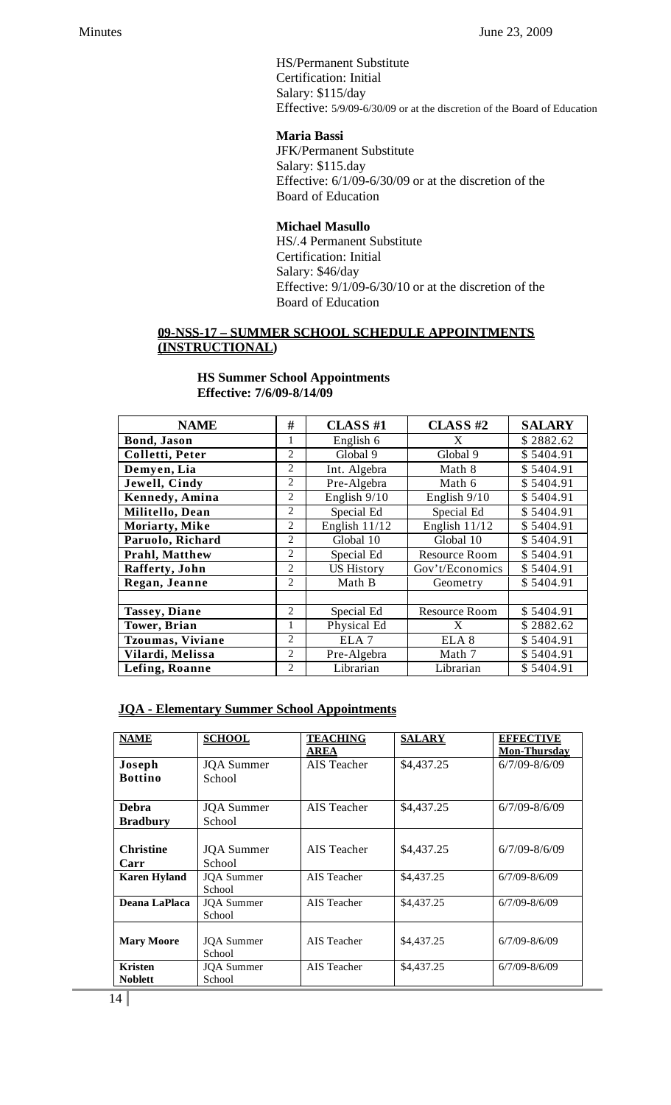HS/Permanent Substitute Certification: Initial Salary: \$115/day Effective: 5/9/09-6/30/09 or at the discretion of the Board of Education

**Maria Bassi** 

JFK/Permanent Substitute Salary: \$115.day Effective: 6/1/09-6/30/09 or at the discretion of the Board of Education

# **Michael Masullo**

 HS/.4 Permanent Substitute Certification: Initial Salary: \$46/day Effective: 9/1/09-6/30/10 or at the discretion of the Board of Education

# **09-NSS-17 – SUMMER SCHOOL SCHEDULE APPOINTMENTS (INSTRUCTIONAL)**

### **HS Summer School Appointments Effective: 7/6/09-8/14/09**

| #<br><b>CLASS</b> #1<br><b>NAME</b> |                | <b>CLASS #2</b>   | <b>SALARY</b>        |           |
|-------------------------------------|----------------|-------------------|----------------------|-----------|
| Bond, Jason                         | 1<br>English 6 |                   | X                    | \$2882.62 |
| Colletti, Peter                     | $\overline{2}$ | Global 9          | Global 9             | \$5404.91 |
| Demyen, Lia                         | 2              | Int. Algebra      | Math 8               | \$5404.91 |
| Jewell, Cindy                       | 2              | Pre-Algebra       | Math 6               | \$5404.91 |
| Kennedy, Amina                      | 2              | English 9/10      | English 9/10         | \$5404.91 |
| Militello, Dean                     | 2              | Special Ed        | Special Ed           | \$5404.91 |
| Moriarty, Mike                      | 2              | English $11/12$   | English $11/12$      | \$5404.91 |
| Paruolo, Richard                    | 2              | Global 10         | Global 10            | \$5404.91 |
| Prahl, Matthew                      | 2              | Special Ed        | <b>Resource Room</b> | \$5404.91 |
| Rafferty, John                      | 2              | <b>US History</b> | Gov't/Economics      | \$5404.91 |
| Regan, Jeanne                       | 2              | Math B            | Geometry             | \$5404.91 |
|                                     |                |                   |                      |           |
| <b>Tassey</b> , Diane               | 2              | Special Ed        | Resource Room        | \$5404.91 |
| <b>Tower</b> , Brian                | 1              | Physical Ed       | X                    | \$2882.62 |
| <b>Tzoumas, Viviane</b>             | 2              | ELA <sub>7</sub>  | ELA <sub>8</sub>     | \$5404.91 |
| Vilardi, Melissa                    | 2              | Pre-Algebra       | Math 7               | \$5404.91 |
| Lefing, Roanne                      | 2              | Librarian         | Librarian            | \$5404.91 |

# **JQA - Elementary Summer School Appointments**

| <b>NAME</b>                      | <b>SCHOOL</b>               | <b>TEACHING</b><br><b>AREA</b> | <b>SALARY</b> | <b>EFFECTIVE</b><br><b>Mon-Thursday</b> |
|----------------------------------|-----------------------------|--------------------------------|---------------|-----------------------------------------|
| Joseph<br><b>Bottino</b>         | <b>JOA</b> Summer<br>School | AIS Teacher                    | \$4,437.25    | $6/7/09 - 8/6/09$                       |
| Debra<br><b>Bradbury</b>         | <b>JQA</b> Summer<br>School | AIS Teacher                    | \$4,437.25    | $6/7/09 - 8/6/09$                       |
| <b>Christine</b><br>Carr         | <b>JQA</b> Summer<br>School | AIS Teacher                    | \$4,437.25    | $6/7/09 - 8/6/09$                       |
| <b>Karen Hyland</b>              | <b>JOA</b> Summer<br>School | AIS Teacher                    | \$4,437.25    | $6/7/09 - 8/6/09$                       |
| Deana LaPlaca                    | <b>JOA</b> Summer<br>School | AIS Teacher                    | \$4,437.25    | $6/7/09 - 8/6/09$                       |
| <b>Mary Moore</b>                | <b>JQA</b> Summer<br>School | AIS Teacher                    | \$4,437.25    | $6/7/09 - 8/6/09$                       |
| <b>Kristen</b><br><b>Noblett</b> | <b>JQA</b> Summer<br>School | AIS Teacher                    | \$4,437.25    | $6/7/09 - 8/6/09$                       |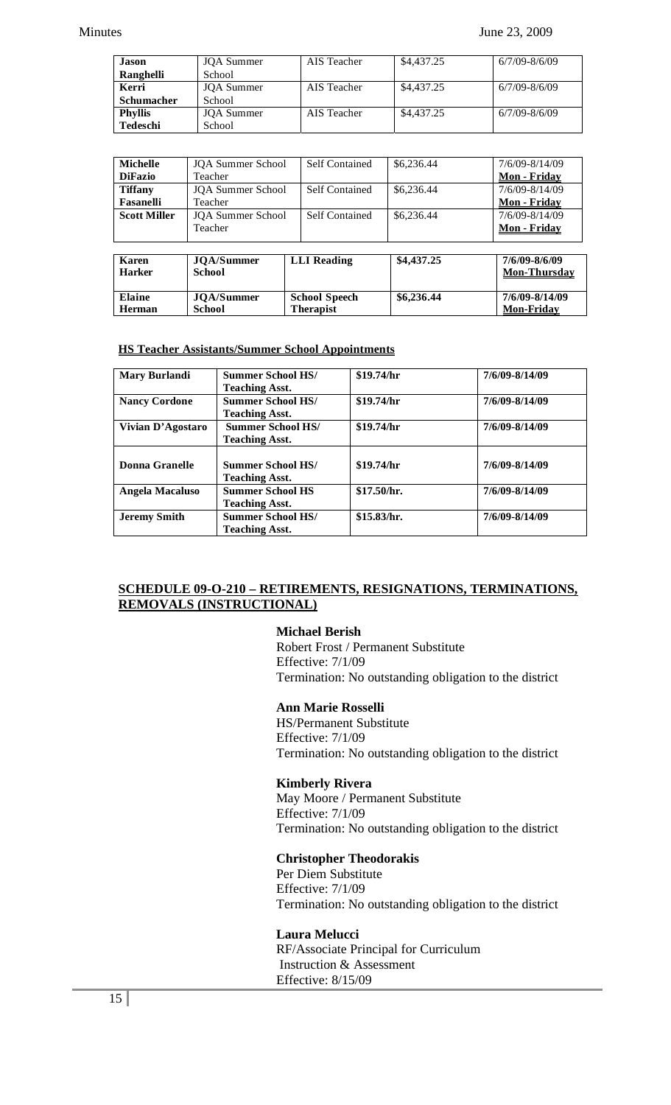| Jason             | <b>JOA</b> Summer | AIS Teacher | \$4,437.25 | $6/7/09 - 8/6/09$ |
|-------------------|-------------------|-------------|------------|-------------------|
| Ranghelli         | School            |             |            |                   |
| Kerri             | <b>JOA</b> Summer | AIS Teacher | \$4,437.25 | $6/7/09 - 8/6/09$ |
| <b>Schumacher</b> | School            |             |            |                   |
| <b>Phyllis</b>    | <b>JOA</b> Summer | AIS Teacher | \$4,437.25 | $6/7/09 - 8/6/09$ |
| Tedeschi          | School            |             |            |                   |

| <b>Michelle</b>               | <b>JOA Summer School</b>           | Self Contained        | \$6,236.44 | 7/6/09-8/14/09                       |
|-------------------------------|------------------------------------|-----------------------|------------|--------------------------------------|
| <b>DiFazio</b>                | Teacher                            |                       |            | Mon - Friday                         |
| <b>Tiffany</b>                | <b>JOA Summer School</b>           | Self Contained        | \$6,236.44 | 7/6/09-8/14/09                       |
| <b>Fasanelli</b>              | Teacher                            |                       |            | <b>Mon</b> - Friday                  |
| <b>Scott Miller</b>           | <b>JOA Summer School</b>           | <b>Self Contained</b> | \$6,236.44 | 7/6/09-8/14/09                       |
|                               | Teacher                            |                       |            | Mon - Friday                         |
|                               |                                    |                       |            |                                      |
| <b>Karen</b><br><b>Harker</b> | <b>JOA/Summer</b><br><b>School</b> | <b>LLI</b> Reading    | \$4,437.25 | 7/6/09-8/6/09<br><b>Mon-Thursday</b> |
| Elaine                        | <b>JOA/Summer</b>                  | <b>School Speech</b>  | \$6,236.44 | 7/6/09-8/14/09                       |
| Herman                        | School                             | <b>Therapist</b>      |            | <b>Mon-Friday</b>                    |

#### **HS Teacher Assistants/Summer School Appointments**

| <b>Mary Burlandi</b> | <b>Summer School HS/</b><br><b>Teaching Asst.</b> | \$19.74/hr  | 7/6/09-8/14/09 |
|----------------------|---------------------------------------------------|-------------|----------------|
| <b>Nancy Cordone</b> | <b>Summer School HS/</b><br><b>Teaching Asst.</b> | \$19.74/hr  | 7/6/09-8/14/09 |
| Vivian D'Agostaro    | <b>Summer School HS/</b><br><b>Teaching Asst.</b> | \$19.74/hr  | 7/6/09-8/14/09 |
| Donna Granelle       | <b>Summer School HS/</b><br><b>Teaching Asst.</b> | \$19.74/hr  | 7/6/09-8/14/09 |
| Angela Macaluso      | <b>Summer School HS</b><br><b>Teaching Asst.</b>  | \$17.50/hr. | 7/6/09-8/14/09 |
| <b>Jeremy Smith</b>  | <b>Summer School HS/</b><br><b>Teaching Asst.</b> | \$15.83/hr. | 7/6/09-8/14/09 |

# **SCHEDULE 09-O-210 – RETIREMENTS, RESIGNATIONS, TERMINATIONS, REMOVALS (INSTRUCTIONAL)**

# **Michael Berish**

Robert Frost / Permanent Substitute Effective: 7/1/09 Termination: No outstanding obligation to the district

#### **Ann Marie Rosselli**

HS/Permanent Substitute Effective: 7/1/09 Termination: No outstanding obligation to the district

#### **Kimberly Rivera**

May Moore / Permanent Substitute Effective: 7/1/09 Termination: No outstanding obligation to the district

#### **Christopher Theodorakis**

Per Diem Substitute Effective: 7/1/09 Termination: No outstanding obligation to the district

#### **Laura Melucci**

RF/Associate Principal for Curriculum Instruction & Assessment Effective: 8/15/09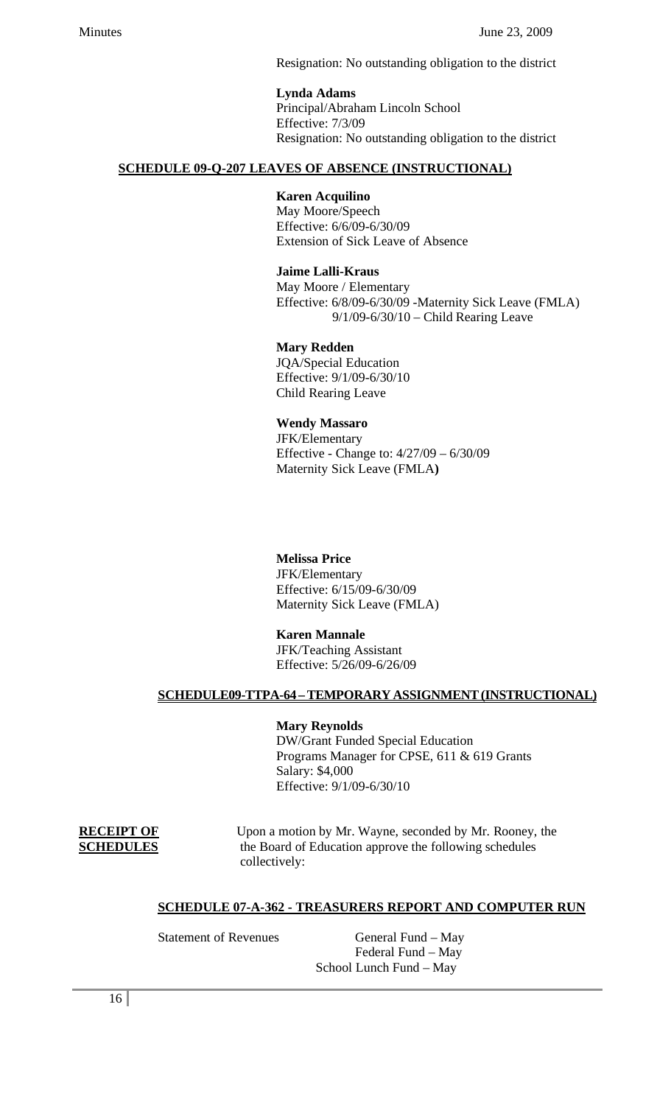Resignation: No outstanding obligation to the district

#### **Lynda Adams**

Principal/Abraham Lincoln School Effective: 7/3/09 Resignation: No outstanding obligation to the district

# **SCHEDULE 09-Q-207 LEAVES OF ABSENCE (INSTRUCTIONAL)**

#### **Karen Acquilino**

May Moore/Speech Effective: 6/6/09-6/30/09 Extension of Sick Leave of Absence

#### **Jaime Lalli-Kraus**

May Moore / Elementary Effective: 6/8/09-6/30/09 -Maternity Sick Leave (FMLA) 9/1/09-6/30/10 – Child Rearing Leave

# **Mary Redden**

JQA/Special Education Effective: 9/1/09-6/30/10 Child Rearing Leave

#### **Wendy Massaro**

JFK/Elementary Effective - Change to: 4/27/09 – 6/30/09 Maternity Sick Leave (FMLA**)** 

#### **Melissa Price**

JFK/Elementary Effective: 6/15/09-6/30/09 Maternity Sick Leave (FMLA)

# **Karen Mannale**

JFK/Teaching Assistant Effective: 5/26/09-6/26/09

# **SCHEDULE09-TTPA-64 – TEMPORARY ASSIGNMENT (INSTRUCTIONAL)**

#### **Mary Reynolds**

DW/Grant Funded Special Education Programs Manager for CPSE, 611 & 619 Grants Salary: \$4,000 Effective: 9/1/09-6/30/10

**RECEIPT OF** Upon a motion by Mr. Wayne, seconded by Mr. Rooney, the **SCHEDULES** the Board of Education approve the following schedules collectively:

#### **SCHEDULE 07-A-362 - TREASURERS REPORT AND COMPUTER RUN**

**Statement of Revenues** General Fund – May Federal Fund – May School Lunch Fund – May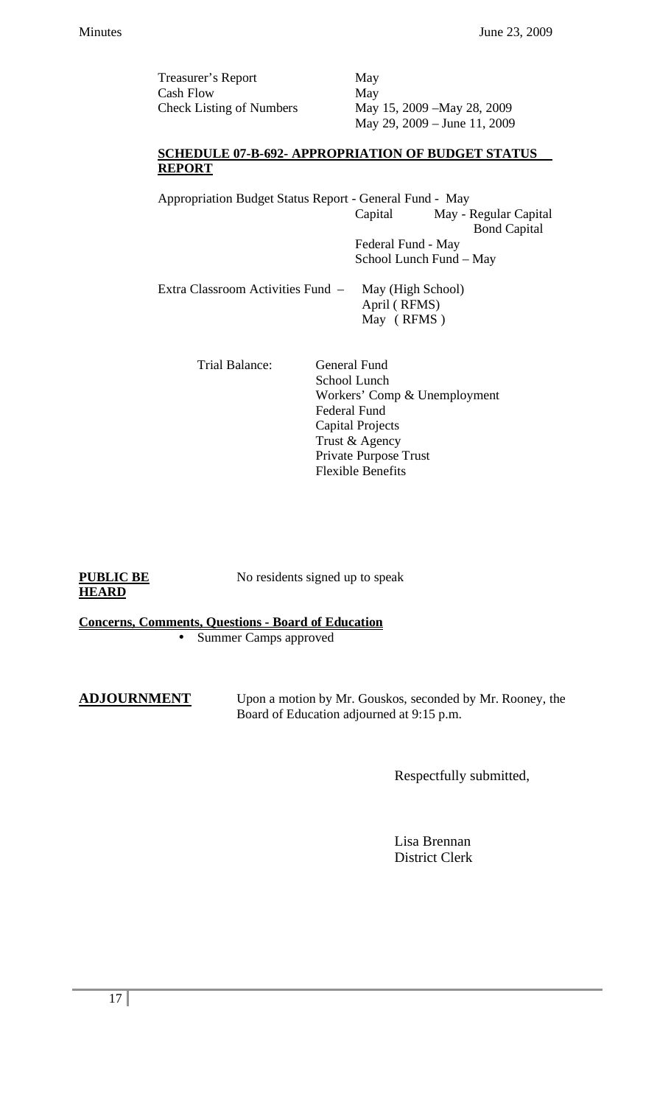Treasurer's Report May Cash Flow May

 Check Listing of Numbers May 15, 2009 –May 28, 2009 May 29, 2009 – June 11, 2009

# **SCHEDULE 07-B-692- APPROPRIATION OF BUDGET STATUS REPORT**

| Appropriation Budget Status Report - General Fund - May |                                                 |                       |
|---------------------------------------------------------|-------------------------------------------------|-----------------------|
|                                                         | Capital                                         | May - Regular Capital |
|                                                         |                                                 | <b>Bond Capital</b>   |
|                                                         | Federal Fund - May                              |                       |
|                                                         | School Lunch Fund - May                         |                       |
| Extra Classroom Activities Fund -                       | May (High School)<br>April (RFMS)<br>May (RFMS) |                       |

Trial Balance: General Fund

 School Lunch Workers' Comp & Unemployment Federal Fund Capital Projects Trust & Agency Private Purpose Trust Flexible Benefits

**HEARD**

**PUBLIC BE** No residents signed up to speak

**Concerns, Comments, Questions - Board of Education**

• Summer Camps approved

**ADJOURNMENT** Upon a motion by Mr. Gouskos, seconded by Mr. Rooney, the Board of Education adjourned at 9:15 p.m.

Respectfully submitted,

 Lisa Brennan District Clerk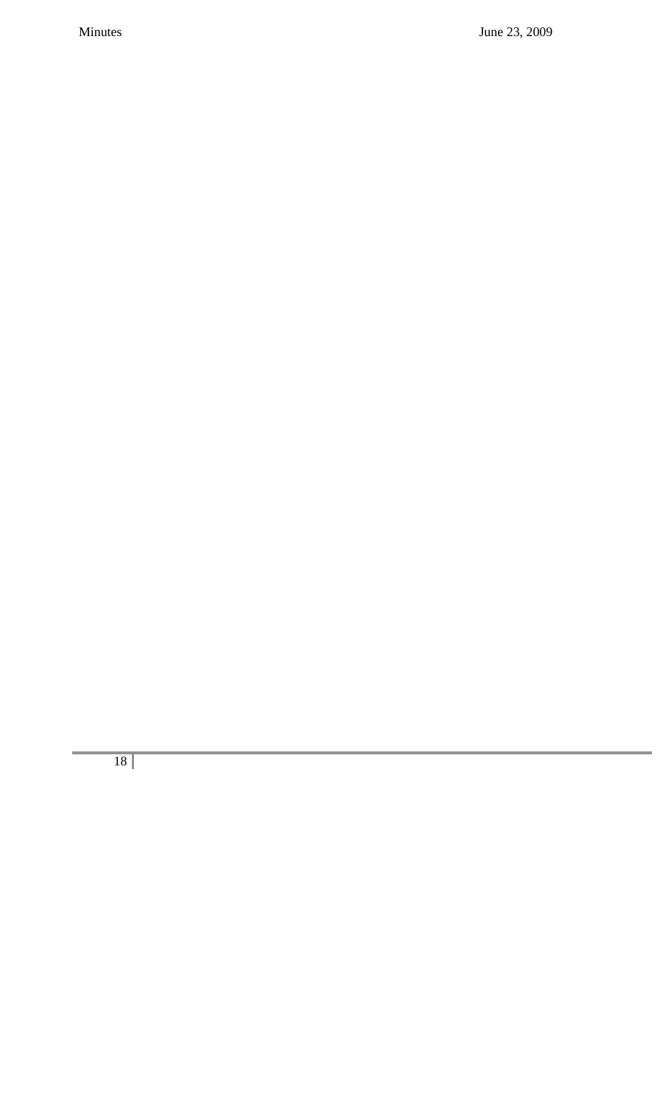18